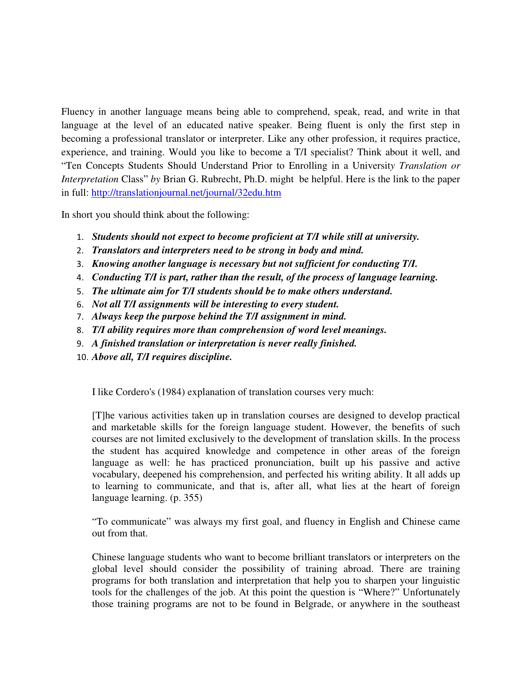Fluency in another language means being able to comprehend, speak, read, and write in that language at the level of an educated native speaker. Being fluent is only the first step in becoming a professional translator or interpreter. Like any other profession, it requires practice, experience, and training. Would you like to become a T/I specialist? Think about it well, and "Ten Concepts Students Should Understand Prior to Enrolling in a Universit*y Translation or Interpretation* Class" *by* Brian G. Rubrecht, Ph.D. might be helpful. Here is the link to the paper in full: http://translationjournal.net/journal/32edu.htm

In short you should think about the following:

- 1. *Students should not expect to become proficient at T/I while still at university.*
- 2. *Translators and interpreters need to be strong in body and mind.*
- 3. *Knowing another language is necessary but not sufficient for conducting T/I.*
- 4. *Conducting T/I is part, rather than the result, of the process of language learning.*
- 5. *The ultimate aim for T/I students should be to make others understand.*
- 6. *Not all T/I assignments will be interesting to every student.*
- 7. *Always keep the purpose behind the T/I assignment in mind.*
- 8. *T/I ability requires more than comprehension of word level meanings.*
- 9. *A finished translation or interpretation is never really finished.*
- 10. *Above all, T/I requires discipline.*

I like Cordero's (1984) explanation of translation courses very much:

[T]he various activities taken up in translation courses are designed to develop practical and marketable skills for the foreign language student. However, the benefits of such courses are not limited exclusively to the development of translation skills. In the process the student has acquired knowledge and competence in other areas of the foreign language as well: he has practiced pronunciation, built up his passive and active vocabulary, deepened his comprehension, and perfected his writing ability. It all adds up to learning to communicate, and that is, after all, what lies at the heart of foreign language learning. (p. 355)

"To communicate" was always my first goal, and fluency in English and Chinese came out from that.

Chinese language students who want to become brilliant translators or interpreters on the global level should consider the possibility of training abroad. There are training programs for both translation and interpretation that help you to sharpen your linguistic tools for the challenges of the job. At this point the question is "Where?" Unfortunately those training programs are not to be found in Belgrade, or anywhere in the southeast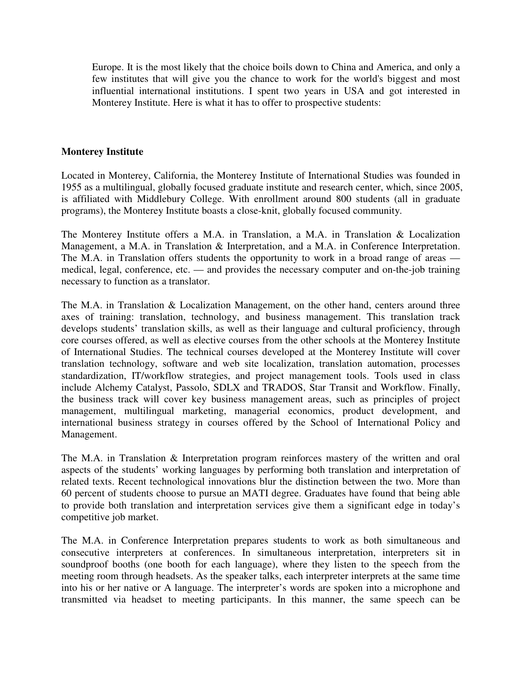Europe. It is the most likely that the choice boils down to China and America, and only a few institutes that will give you the chance to work for the world's biggest and most influential international institutions. I spent two years in USA and got interested in Monterey Institute. Here is what it has to offer to prospective students:

## **Monterey Institute**

Located in Monterey, California, the Monterey Institute of International Studies was founded in 1955 as a multilingual, globally focused graduate institute and research center, which, since 2005, is affiliated with Middlebury College. With enrollment around 800 students (all in graduate programs), the Monterey Institute boasts a close-knit, globally focused community.

The Monterey Institute offers a M.A. in Translation, a M.A. in Translation & Localization Management, a M.A. in Translation & Interpretation, and a M.A. in Conference Interpretation. The M.A. in Translation offers students the opportunity to work in a broad range of areas medical, legal, conference, etc. — and provides the necessary computer and on-the-job training necessary to function as a translator.

The M.A. in Translation & Localization Management, on the other hand, centers around three axes of training: translation, technology, and business management. This translation track develops students' translation skills, as well as their language and cultural proficiency, through core courses offered, as well as elective courses from the other schools at the Monterey Institute of International Studies. The technical courses developed at the Monterey Institute will cover translation technology, software and web site localization, translation automation, processes standardization, IT/workflow strategies, and project management tools. Tools used in class include Alchemy Catalyst, Passolo, SDLX and TRADOS, Star Transit and Workflow. Finally, the business track will cover key business management areas, such as principles of project management, multilingual marketing, managerial economics, product development, and international business strategy in courses offered by the School of International Policy and Management.

The M.A. in Translation & Interpretation program reinforces mastery of the written and oral aspects of the students' working languages by performing both translation and interpretation of related texts. Recent technological innovations blur the distinction between the two. More than 60 percent of students choose to pursue an MATI degree. Graduates have found that being able to provide both translation and interpretation services give them a significant edge in today's competitive job market.

The M.A. in Conference Interpretation prepares students to work as both simultaneous and consecutive interpreters at conferences. In simultaneous interpretation, interpreters sit in soundproof booths (one booth for each language), where they listen to the speech from the meeting room through headsets. As the speaker talks, each interpreter interprets at the same time into his or her native or A language. The interpreter's words are spoken into a microphone and transmitted via headset to meeting participants. In this manner, the same speech can be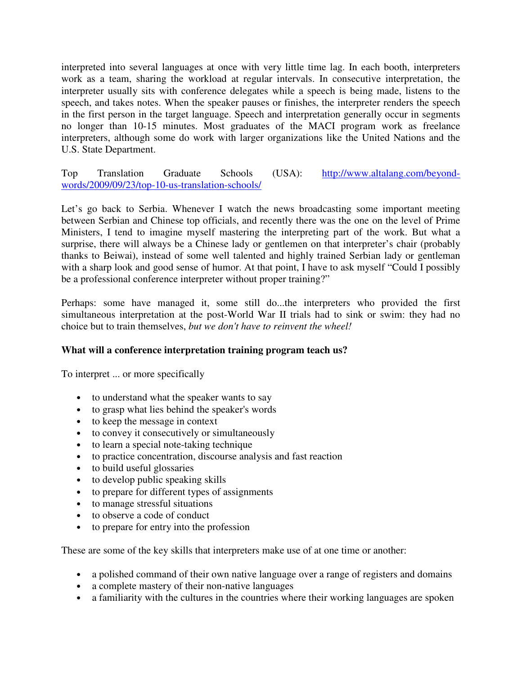interpreted into several languages at once with very little time lag. In each booth, interpreters work as a team, sharing the workload at regular intervals. In consecutive interpretation, the interpreter usually sits with conference delegates while a speech is being made, listens to the speech, and takes notes. When the speaker pauses or finishes, the interpreter renders the speech in the first person in the target language. Speech and interpretation generally occur in segments no longer than 10-15 minutes. Most graduates of the MACI program work as freelance interpreters, although some do work with larger organizations like the United Nations and the U.S. State Department.

Top Translation Graduate Schools (USA): http://www.altalang.com/beyondwords/2009/09/23/top-10-us-translation-schools/

Let's go back to Serbia. Whenever I watch the news broadcasting some important meeting between Serbian and Chinese top officials, and recently there was the one on the level of Prime Ministers, I tend to imagine myself mastering the interpreting part of the work. But what a surprise, there will always be a Chinese lady or gentlemen on that interpreter's chair (probably thanks to Beiwai), instead of some well talented and highly trained Serbian lady or gentleman with a sharp look and good sense of humor. At that point, I have to ask myself "Could I possibly be a professional conference interpreter without proper training?"

Perhaps: some have managed it, some still do...the interpreters who provided the first simultaneous interpretation at the post-World War II trials had to sink or swim: they had no choice but to train themselves, *but we don't have to reinvent the wheel!* 

## **What will a conference interpretation training program teach us?**

To interpret ... or more specifically

- to understand what the speaker wants to say
- to grasp what lies behind the speaker's words
- to keep the message in context
- to convey it consecutively or simultaneously
- to learn a special note-taking technique
- to practice concentration, discourse analysis and fast reaction
- to build useful glossaries
- to develop public speaking skills
- to prepare for different types of assignments
- to manage stressful situations
- to observe a code of conduct
- to prepare for entry into the profession

These are some of the key skills that interpreters make use of at one time or another:

- a polished command of their own native language over a range of registers and domains
- a complete mastery of their non-native languages
- a familiarity with the cultures in the countries where their working languages are spoken